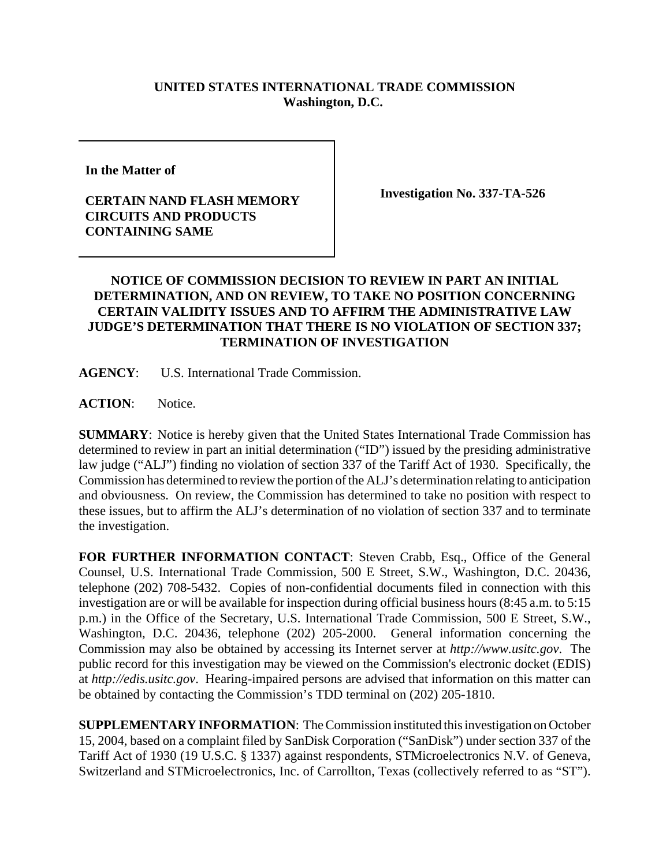## **UNITED STATES INTERNATIONAL TRADE COMMISSION Washington, D.C.**

**In the Matter of** 

## **CERTAIN NAND FLASH MEMORY CIRCUITS AND PRODUCTS CONTAINING SAME**

**Investigation No. 337-TA-526**

## **NOTICE OF COMMISSION DECISION TO REVIEW IN PART AN INITIAL DETERMINATION, AND ON REVIEW, TO TAKE NO POSITION CONCERNING CERTAIN VALIDITY ISSUES AND TO AFFIRM THE ADMINISTRATIVE LAW JUDGE'S DETERMINATION THAT THERE IS NO VIOLATION OF SECTION 337; TERMINATION OF INVESTIGATION**

**AGENCY**: U.S. International Trade Commission.

ACTION: Notice.

**SUMMARY**: Notice is hereby given that the United States International Trade Commission has determined to review in part an initial determination ("ID") issued by the presiding administrative law judge ("ALJ") finding no violation of section 337 of the Tariff Act of 1930. Specifically, the Commission has determined to review the portion of the ALJ's determination relating to anticipation and obviousness. On review, the Commission has determined to take no position with respect to these issues, but to affirm the ALJ's determination of no violation of section 337 and to terminate the investigation.

**FOR FURTHER INFORMATION CONTACT**: Steven Crabb, Esq., Office of the General Counsel, U.S. International Trade Commission, 500 E Street, S.W., Washington, D.C. 20436, telephone (202) 708-5432. Copies of non-confidential documents filed in connection with this investigation are or will be available for inspection during official business hours (8:45 a.m. to 5:15 p.m.) in the Office of the Secretary, U.S. International Trade Commission, 500 E Street, S.W., Washington, D.C. 20436, telephone (202) 205-2000. General information concerning the Commission may also be obtained by accessing its Internet server at *http://www.usitc.gov*. The public record for this investigation may be viewed on the Commission's electronic docket (EDIS) at *http://edis.usitc.gov*. Hearing-impaired persons are advised that information on this matter can be obtained by contacting the Commission's TDD terminal on (202) 205-1810.

**SUPPLEMENTARY INFORMATION**: The Commission instituted this investigation on October 15, 2004, based on a complaint filed by SanDisk Corporation ("SanDisk") under section 337 of the Tariff Act of 1930 (19 U.S.C. § 1337) against respondents, STMicroelectronics N.V. of Geneva, Switzerland and STMicroelectronics, Inc. of Carrollton, Texas (collectively referred to as "ST").